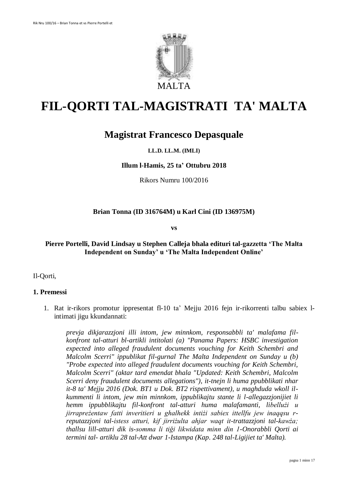

# **FIL-QORTI TAL-MAGISTRATI TA' MALTA**

# **Magistrat Francesco Depasquale**

# **LL.D. LL.M. (IMLI)**

#### **Illum l-Hamis, 25 ta' Ottubru 2018**

Rikors Numru 100/2016

# **Brian Tonna (ID 316764M) u Karl Cini (ID 136975M)**

**vs**

# **Pierre Portelli, David Lindsay u Stephen Calleja bhala edituri tal-gazzetta 'The Malta Independent on Sunday' u 'The Malta Independent Online'**

Il-Qorti,

#### **1. Premessi**

1. Rat ir-rikors promotur ippresentat fl-10 ta' Mejju 2016 fejn ir-rikorrenti talbu sabiex lintimati jigu kkundannati:

*prevja dikjarazzjoni illi intom, jew minnkom, responsabbli ta' malafama filkonfront tal-atturi bl-artikli intitolati (a) "Panama Papers: HSBC investigation expected into alleged fraudulent documents vouching for Keith Schembri and Malcolm Scerri" ippublikat fil-gurnal The Malta Independent on Sunday u (b) "Probe expected into alleged fraudulent documents vouching for Keith Schembri, Malcolm Scerri" (aktar tard emendat bhala "Updated: Keith Schembri, Malcolm Scerri deny fraudulent documents allegations"), it-tnejn li huma ppubblikati nhar it-8 ta' Mejju 2016 (Dok. BT1 u Dok. BT2 rispettivament), u maghduda wkoll ilkummenti li intom, jew min minnkom, ippublikajtu stante li l-allegazzjonijiet li hemm ippubblikajtu fil-konfront tal-atturi huma malafamanti, libellużi u jirrapreżentaw fatti inveritieri u ghalhekk intiżi sabiex ittellfu jew inaqqsu rreputazzjoni tal-istess atturi, kif jirriżulta ahjar waqt it-trattazzjoni tal-kawża; thallsu lill-atturi dik is-somma li tiği likwidata minn din 1-Onorabbli Qorti ai termini tal- artiklu 28 tal-Att dwar 1-Istampa (Kap. 248 tal-Ligijiet ta' Malta).*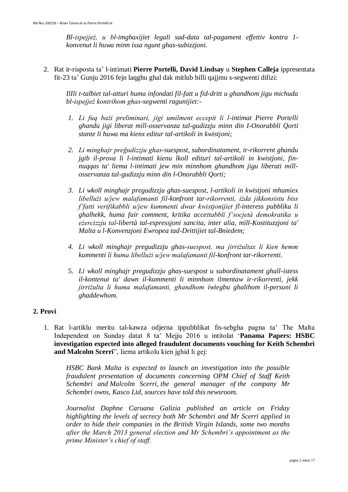*Bl-ispejjeż, u bl-imghaxijiet legali sad-data tal-pagament effettiv kontra 1 konvenut li huwa minn issa ngunt ghas-subizzjoni.*

2. Rat ir-risposta ta' l-intimati **Pierre Portelli, David Lindsay** u **Stephen Calleja** ippresentata fit-23 ta' Gunju 2016 fejn laqghu ghal dak mitlub billi qajjmu s-segwenti difizi:

*IlIli t-talbiet tal-atturi huma infondati fil-fatt u fid-dritt u ghandhom jigu michuda bl-ispejjeż kontrihom ghas-segwenti ragunijiet:-*

- *1. Li fuq bażi preliminari, jigi umilment eccepit li l-intimat Pierre Portelli ghandu jigi liberat mill-osservanza tal-gudizzju minn din I-Onorabbli Qorti stante li huwa ma kienx editur tal-artikoli in kwistjoni;*
- *2. Li minghajr preğudizzju ghas-suespost, subordinatament, ir-rikorrent ghandu jgib il-prova li l-intimati kienu lkoll edituri tal-artikoli in kwistjoni, finnuqqas ta' liema l-intimati jew min minnhom ghandhom jigu liberati millosservanza tal-gudizzju minn din l-Onorabbli Qorti;*
- *3. Li wkoll minghajr pregudizzju ghas-suespost, l-artikoli in kwistjoni mhumiex libellużi u/jew malafamanti fil-konfront tar-rikorrenti, iżda jikkonsistu biss f'fatti verifikabbli u/jew kummenti dwar kwistjonijiet fl-interess pubbliku li ghalhekk, huma fair comment, kritika accettabbli f'socjetà demokratika u eżercizzju tal-libertà tal-espressjoni sancita, inter alia, mill-Kostituzzjoni ta' Malta u l-Konvenzjoni Ewropea tad-Drittijiet tal-Bniedem;*
- *4. Li wkoll minghajr pregudizzju ghas-suespost, ma jirriżultax li kien hemm kummenti li huma libellużi u/jew malafamanti fil-konfront tar-rikorrenti.*
- 5. *Li wkoll minghajr pregudizzju ghas-suespost u subordinatament ghall-istess il-kontenut ta' dawn il-kummenti li minnhom ilmentaw ir-rikorrenti, jekk jirriżulta li huma malafamanti, ghandhom iwiegbu ghalihom il-persuni li ghaddewhom.*

# **2. Provi**

1. Rat l-artiklu meritu tal-kawza odjerna ippubblikat fis-sebgha pagna ta' The Malta Independent on Sunday datat 8 ta' Mejju 2016 u intitolat '**Panama Papers: HSBC investigation expected into alleged fraudulent documents vouching for Keith Schembri and Malcolm Scerri**", liema artikolu kien jghid li gej:

*HSBC Bank Malta is expected to launch an investigation into the possible fraudulent presentation of documents concerning OPM Chief of Staff Keith Schembri and Malcolm Scerri, the general manager of the company Mr Schembri owns, Kasco Ltd, sources have told this newsroom.*

*Journalist Daphne Caruana Galizia published an article on Friday highlighting the levels of secrecy both Mr Schembri and Mr Scerri applied in order to hide their companies in the British Virgin Islands, some two months after the March 2013 general election and Mr Schembri's appointment as the prime Minister's chief of staff.*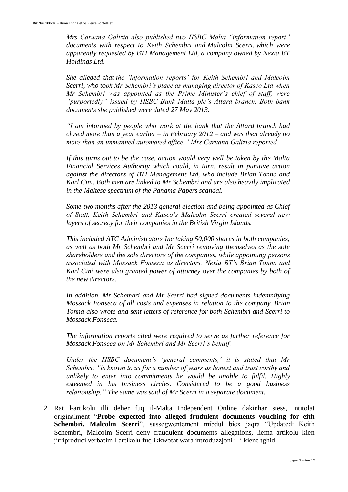*Mrs Caruana Galizia also published two HSBC Malta "information report" documents with respect to Keith Schembri and Malcolm Scerri, which were apparently requested by BTI Management Ltd, a company owned by Nexia BT Holdings Ltd.*

*She alleged that the 'information reports' for Keith Schembri and Malcolm Scerri, who took Mr Schembri's place as managing director of Kasco Ltd when Mr Schembri was appointed as the Prime Minister's chief of staff, were "purportedly" issued by HSBC Bank Malta plc's Attard branch. Both bank documents she published were dated 27 May 2013.*

*"I am informed by people who work at the bank that the Attard branch had closed more than a year earlier – in February 2012 – and was then already no more than an unmanned automated office," Mrs Caruana Galizia reported.*

*If this turns out to be the case, action would very well be taken by the Malta Financial Services Authority which could, in turn, result in punitive action against the directors of BTI Management Ltd, who include Brian Tonna and Karl Cini. Both men are linked to Mr Schembri and are also heavily implicated in the Maltese spectrum of the Panama Papers scandal.*

*Some two months after the 2013 general election and being appointed as Chief of Staff, Keith Schembri and Kasco's Malcolm Scerri created several new layers of secrecy for their companies in the British Virgin Islands.*

*This included ATC Administrators Inc taking 50,000 shares in both companies, as well as both Mr Schembri and Mr Scerri removing themselves as the sole shareholders and the sole directors of the companies, while appointing persons associated with Mossack Fonseca as directors. Nexia BT's Brian Tonna and Karl Cini were also granted power of attorney over the companies by both of the new directors.*

*In addition, Mr Schembri and Mr Scerri had signed documents indemnifying Mossack Fonseca of all costs and expenses in relation to the company. Brian Tonna also wrote and sent letters of reference for both Schembri and Scerri to Mossack Fonseca.*

*The information reports cited were required to serve as further reference for Mossack Fonseca on Mr Schembri and Mr Scerri's behalf.*

*Under the HSBC document's 'general comments,' it is stated that Mr Schembri: "is known to us for a number of years as honest and trustworthy and unlikely to enter into commitments he would be unable to fulfil. Highly esteemed in his business circles. Considered to be a good business relationship." The same was said of Mr Scerri in a separate document.*

2. Rat l-artikolu illi deher fuq il-Malta Independent Online dakinhar stess, intitolat originalment "**Probe expected into alleged frudulent documents vouching for eith Schembri, Malcolm Scerri**", sussegwentement mibdul biex jaqra "Updated: Keith Schembri, Malcolm Scerri deny fraudulent documents allegations, liema artikolu kien jirriproduci verbatim l-artikolu fuq ikkwotat wara introduzzjoni illi kiene tghid: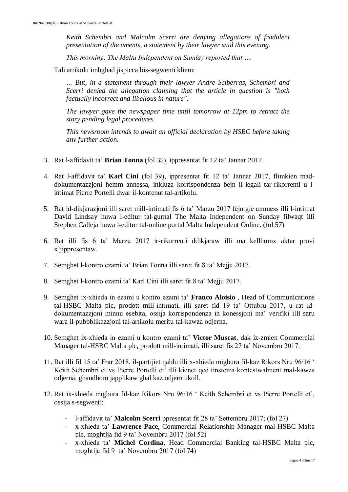*Keith Schembri and Malcolm Scerri are denying allegations of fradulent presentation of documents, a statement by their lawyer said this evening.*

*This morning, The Malta Independent on Sunday reported that ….*

Tali artikolu imbghad jispicca bis-segwenti kliem:

*… But, in a statement through their lawyer Andre Sciberras, Schembri and Scerri denied the allegation claiming that the article in question is "both factually incorrect and libellous in nature".*

*The lawyer gave the newspaper time until tomorrow at 12pm to retract the story pending legal procedures.*

*This newsroom intends to await an official declaration by HSBC before taking any further action.*

- 3. Rat l-affidavit ta' **Brian Tonna** (fol 35), ippresentat fit 12 ta' Jannar 2017.
- 4. Rat l-affidavit ta' **Karl Cini** (fol 39), ippresentat fit 12 ta' Jannar 2017, flimkien maddokumentazzjoni hemm annessa, inkluza korrispondenza bejn il-legali tar-rikorrenti u lintimat Pierre Portelli dwar il-kontenut tal-artikolu.
- 5. Rat id-dikjarazjoni illi saret mill-intimati fis 6 ta' Marzu 2017 fejn gie ammess illi l-intimat David Lindsay huwa l-editur tal-gurnal The Malta Independent on Sunday filwaqt illi Stephen Calleja huwa l-editur tal-online portal Malta Independent Online. (fol 57)
- 6. Rat illi fis 6 ta' Marzu 2017 ir-rikorrenti ddikjaraw illi ma kellhomx aktar provi x'jippresentaw.
- 7. Semghet l-kontro ezami ta' Brian Tonna illi saret fit 8 ta' Mejju 2017.
- 8. Semghet l-kontro ezami ta' Karl Cini illi saret fit 8 ta' Mejju 2017.
- 9. Semghet ix-xhieda in ezami u kontro ezami ta' **Franco Aloisio** , Head of Communications tal-HSBC Malta plc, prodott mill-intimati, illi saret fid 19 ta' Ottubru 2017, u rat iddokumentazzjoni minnu esebita, ossija korrispondenza in konessjoni ma' verifiki illi saru wara il-pubbblikazzjoni tal-artikolu meritu tal-kawza odjerna.
- 10. Semghet ix-xhieda in ezami u kontro ezami ta' **Victor Muscat**, dak iz-zmien Commercial Manager tal-HSBC Malta plc, prodott mill-intimati, illi saret fis 27 ta' Novembru 2017.
- 11. Rat illi fil 15 ta' Frar 2018, il-partijiet qablu illi x-xhieda migbura fil-kaz Rikors Nru 96/16 ' Keith Schembri et vs Pierre Portelli et' illi kienet qed tinstema kontestwalment mal-kawza odjerna, ghandhom japplikaw ghal kaz odjern ukoll.
- 12. Rat ix-xhieda migbura fil-kaz Rikors Nru 96/16 ' Keith Schembri et vs Pierre Portelli et', ossija s-segwenti:
	- l-affidavit ta' **Malcolm Scerri** ppresentat fit 28 ta' Settembru 2017; (fol 27)
	- x-xhieda ta' **Lawrence Pace**, Commercial Relationship Manager mal-HSBC Malta plc, moghtija fid 9 ta' Novembru 2017 (fol 52)
	- x-xhieda ta' **Michel Cordina**, Head Commercial Banking tal-HSBC Malta plc, moghtija fid 9 ta' Novembru 2017 (fol 74)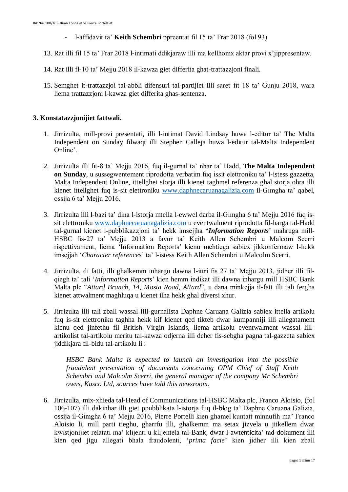- l-affidavit ta' **Keith Schembri** ppreentat fil 15 ta' Frar 2018 (fol 93)
- 13. Rat illi fil 15 ta' Frar 2018 l-intimati ddikjaraw illi ma kellhomx aktar provi x'jippresentaw.
- 14. Rat illi fl-10 ta' Mejju 2018 il-kawza giet differita ghat-trattazzjoni finali.
- 15. Semghet it-trattazzjoi tal-abbli difensuri tal-partijiet illi saret fit 18 ta' Gunju 2018, wara liema trattazzjoni l-kawza giet differita ghas-sentenza.

# **3. Konstatazzjonijiet fattwali.**

- 1. Jirrizulta, mill-provi presentati, illi l-intimat David Lindsay huwa l-editur ta' The Malta Independent on Sunday filwaqt illi Stephen Calleja huwa l-editur tal-Malta Independent Online'.
- 2. Jirrizulta illi fit-8 ta' Mejju 2016, fuq il-gurnal ta' nhar ta' Hadd, **The Malta Independent on Sunday**, u sussegwentement riprodotta verbatim fuq issit elettroniku ta' l-istess gazzetta, Malta Independent Online, ittellghet storja illi kienet taghmel referenza ghal storja ohra illi kienet ittellghet fuq is-sit elettroniku [www.daphnecaruanagalizia.com](http://www.daphnecaruanagalizia.com/) il-Gimgha ta' qabel, ossija 6 ta' Mejju 2016.
- 3. Jirrizulta illi l-bazi ta' dina l-istorja mtella l-ewwel darba il-Gimgha 6 ta' Mejju 2016 fuq issit elettroniku [www.daphnecaruanagalizia.com](http://www.daphnecaruanagalizia.com/) u eventwalment riprodotta fil-harga tal-Hadd tal-gurnal kienet l-pubblikazzjoni ta' hekk imsejjha "*Information Reports*' mahruga mill-HSBC fis-27 ta' Mejju 2013 a favur ta' Keith Allen Schembri u Malcom Scerri rispettivament, liema 'Information Reports' kienu mehtiega sabiex jikkonfermaw l-hekk imsejjah '*Character references*' ta' l-istess Keith Allen Schembri u Malcolm Scerri.
- 4. Jirrizulta, di fatti, illi ghalkemm inhargu dawna l-ittri fis 27 ta' Mejju 2013, jidher illi filqiegh ta' tali '*Information Reports*' kien hemm indikat illi dawna inhargu mill HSBC Bank Malta plc "*Attard Branch, 14, Mosta Road, Attard*", u dana minkejja il-fatt illi tali fergha kienet attwalment maghluqa u kienet ilha hekk ghal diversi xhur.
- 5. Jirrizulta illi tali zball wassal lill-gurnalista Daphne Caruana Galizia sabiex ittella artikolu fuq is-sit elettroniku taghha hekk kif kienet qed tikteb dwar kumpanniji illi allegatament kienu qed jinfethu fil British Virgin Islands, liema artikolu eventwalment wassal lillartikolist tal-artikolu meritu tal-kawza odjerna illi deher fis-sebgha pagna tal-gazzeta sabiex jiddikjara fil-bidu tal-artikolu li :

*HSBC Bank Malta is expected to launch an investigation into the possible fraudulent presentation of documents concerning OPM Chief of Staff Keith Schembri and Malcolm Scerri, the general manager of the company Mr Schembri owns, Kasco Ltd, sources have told this newsroom.*

6. Jirrizulta, mix-xhieda tal-Head of Communications tal-HSBC Malta plc, Franco Aloisio, (fol 106-107) illi dakinhar illi giet ppubblikata l-istorja fuq il-blog ta' Daphne Caruana Galizia, ossija il-Gimgha 6 ta' Mejju 2016, Pierre Portelli kien ghamel kuntatt minnufih ma' Franco Aloisio li, mill parti tieghu, gharrfu illi, ghalkemm ma setax jizvela u jitkellem dwar kwistjonijiet relatati ma' klijenti u klijentela tal-Bank, dwar l-awtenticita' tad-dokument illi kien qed jigu allegati bhala fraudolenti, '*prima facie*' kien jidher illi kien zball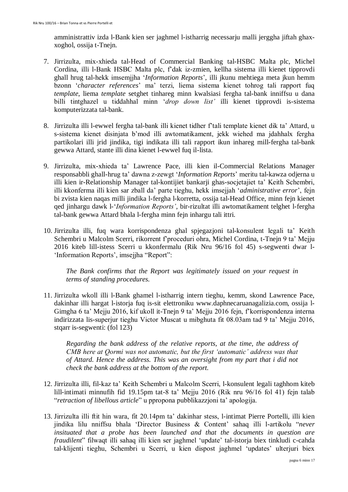amministrattiv izda l-Bank kien ser jaghmel l-istharrig necessarju malli jerggha jiftah ghaxxoghol, ossija t-Tnejn.

- 7. Jirrizulta, mix-xhieda tal-Head of Commercial Banking tal-HSBC Malta plc, Michel Cordina, illi l-Bank HSBC Malta plc, f'dak iz-zmien, kellha sistema illi kienet tipprovdi ghall hrug tal-hekk imsemjjha '*Information Reports*', illi jkunu mehtiega meta jkun hemm bzonn '*character references*' ma' terzi, liema sistema kienet tohrog tali rapport fuq *template*, liema *template* setghet tinhareg minn kwalsiasi fergha tal-bank inniffsu u dana billi tintghazel u tiddahhal minn '*drop down list'* illi kienet tipprovdi is-sistema komputerizzata tal-bank.
- 8. Jirrizulta illi l-ewwel fergha tal-bank illi kienet tidher f'tali template kienet dik ta' Attard, u s-sistema kienet disinjata b'mod illi awtomatikament, jekk wiehed ma jdahhalx fergha partikolari illi jrid jindika, tigi indikata illi tali rapport ikun inhareg mill-fergha tal-bank gewwa Attard, stante illi dina kienet l-ewwel fuq il-lista.
- 9. Jirrizulta, mix-xhieda ta' Lawrence Pace, illi kien il-Commercial Relations Manager responsabbli ghall-hrug ta' dawna z-zewgt '*Information Reports*' meritu tal-kawza odjerna u illi kien ir-Relationship Manager tal-kontijiet bankarji ghas-socjetajiet ta' Keith Schembri, illi kkonferma illi kien sar zball da' parte tieghu, hekk imsejjah '*administrative error*', fejn bi zvista kien naqas milli jindika l-fergha l-korretta, ossija tal-Head Office, minn fejn kienet qed jinhargu dawk l-'*Information Reports'*, bir-rizultat illi awtomatikament telghet l-fergha tal-bank gewwa Attard bhala l-fergha minn fejn inhargu tali ittri.
- 10. Jirrizulta illi, fuq wara korrispondenza ghal spjegazjoni tal-konsulent legali ta' Keith Schembri u Malcolm Scerri, rikorrent f'proceduri ohra, Michel Cordina, t-Tnejn 9 ta' Mejju 2016 kiteb lill-istess Scerri u kkonfermalu (Rik Nru 96/16 fol 45) s-segwenti dwar l- 'Information Reports', imsejjha "Report":

*The Bank confirms that the Report was legitimately issued on your request in terms of standing procedures.*

11. Jirrizulta wkoll illi l-Bank ghamel l-istharrig intern tieghu, kemm, skond Lawrence Pace, dakinhar illi hargat l-istorja fuq is-sit elettroniku www.daphnecaruanagalizia.com, ossija l-Gimgha 6 ta' Mejju 2016, kif ukoll it-Tnejn 9 ta' Mejju 2016 fejn, f'korrispondenza interna indirizzata lis-superjur tieghu Victor Muscat u mibghuta fit 08.03am tad 9 ta' Mejju 2016, stqarr is-segwenti: (fol 123)

*Regarding the bank address of the relative reports, at the time, the address of CMB here at Qormi was not automatic, but the first 'automatic' address was that of Attard. Hence the address. This was an oversight from my part that i did not check the bank address at the bottom of the report.*

- 12. Jirrizulta illi, fil-kaz ta' Keith Schembri u Malcolm Scerri, l-konsulent legali taghhom kiteb lill-intimati minnufih fid 19.15pm tat-8 ta' Mejju 2016 (Rik nru 96/16 fol 41) fejn talab "*retraction of libellous article*" u ppropona pubblikazzjoni ta' apologija.
- 13. Jirrizulta illi ftit hin wara, fit 20.14pm ta' dakinhar stess, l-intimat Pierre Portelli, illi kien jindika lilu nniffsu bhala 'Director Business & Content' sahaq illi l-artikolu "*never insituated that a probe has been launched and that the documents in question are fraudilent*" filwaqt illi sahaq illi kien ser jaghmel 'update' tal-istorja biex tinkludi c-cahda tal-klijenti tieghu, Schembri u Scerri, u kien dispost jaghmel 'updates' ulterjuri biex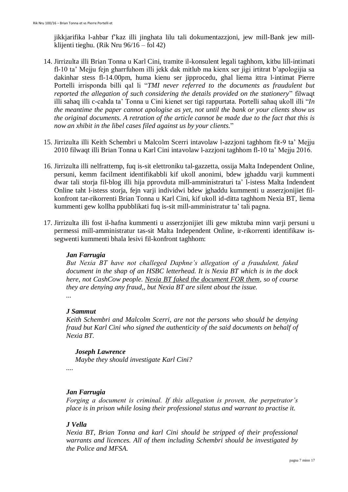jikkjarifika l-ahbar f'kaz illi jinghata lilu tali dokumentazzjoni, jew mill-Bank jew millklijenti tieghu. (Rik Nru 96/16 – fol 42)

- 14. Jirrizulta illi Brian Tonna u Karl Cini, tramite il-konsulent legali taghhom, kitbu lill-intimati fl-10 ta' Mejju fejn gharrfuhom illi jekk dak mitlub ma kienx ser jigi irtitrat b'apologijia sa dakinhar stess fl-14.00pm, huma kienu ser jipprocedu, ghal liema ittra l-intimat Pierre Portelli irrisponda billi qal li "*TMI never referred to the documents as fraudulent but reported the allegation of such considering the details provided on the stationery*" filwaqt illi sahaq illi c-cahda ta' Tonna u Cini kienet ser tigi rappurtata. Portelli sahaq ukoll illi "*In the meantime the paper cannot apologise as yet, not until the bank or your clients show us the original documents. A retration of the article cannot be made due to the fact that this is now an xhibit in the libel cases filed against us by your clients.*"
- 15. Jirrizulta illi Keith Schembri u Malcolm Scerri intavolaw l-azzjoni taghhom fit-9 ta' Mejju 2010 filwaqt illi Brian Tonna u Karl Cini intavolaw l-azzjoni taghhom fl-10 ta' Mejju 2016.
- 16. Jirrizulta illi nelfrattemp, fuq is-sit elettroniku tal-gazzetta, ossija Malta Independent Online, persuni, kemm facilment identifikabbli kif ukoll anonimi, bdew jghaddu varji kummenti dwar tali storja fil-blog illi hija pprovduta mill-amministraturi ta' l-istess Malta Indendent Online taht l-istess storja, fejn varji individwi bdew jghaddu kummenti u asserzjonijiet filkonfront tar-rikorrenti Brian Tonna u Karl Cini, kif ukoll id-ditta taghhom Nexia BT, liema kummenti gew kollha ppubblikati fuq is-sit mill-amministratur ta' tali pagna.
- 17. Jirrizulta illi fost il-hafna kummenti u asserzjonijiet illi gew miktuba minn varji persuni u permessi mill-amministratur tas-sit Malta Independent Online, ir-rikorrenti identifikaw issegwenti kummenti bhala lesivi fil-konfront taghhom:

#### *Jan Farrugia*

*But Nexia BT have not challeged Daphne's allegation of a fraudulent, faked document in the shap of an HSBC letterhead. It is Nexia BT which is in the dock here, not CashCow people. Nexia BT faked the document FOR them, so of course they are denying any fraud,, but Nexia BT are silent about the issue. ...*

#### *J Sammut*

*Keith Schembri and Malcolm Scerri, are not the persons who should be denying fraud but Karl Cini who signed the authenticity of the said documents on behalf of Nexia BT.*

*Joseph Lawrence Maybe they should investigate Karl Cini?*

*....*

# *Jan Farrugia*

*Forging a document is criminal. If this allegation is proven, the perpetrator's place is in prison while losing their professional status and warrant to practise it.*

#### *J Vella*

*Nexia BT, Brian Tonna and karl Cini should be stripped of their professional warrants and licences. All of them including Schembri should be investigated by the Police and MFSA.*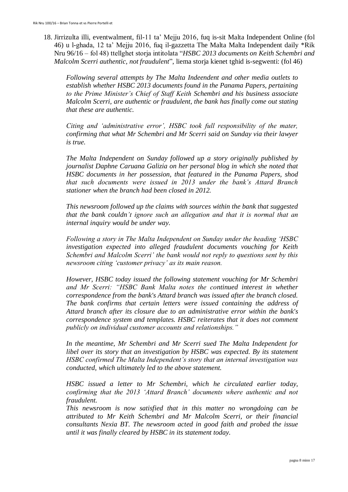18. Jirrizulta illi, eventwalment, fil-11 ta' Mejju 2016, fuq is-sit Malta Independent Online (fol 46) u l-ghada, 12 ta' Mejju 2016, fuq il-gazzetta The Malta Malta Independent daily \*Rik Nru 96/16 – fol 48) ttellghet storja intitolata "*HSBC 2013 documents on Keith Schembri and Malcolm Scerri authentic, not fraudulent*", liema storja kienet tghid is-segwenti: (fol 46)

*Following several attempts by The Malta Indeendent and other media outlets to establish whether HSBC 2013 documents found in the Panama Papers, pertaining to the Prime Minister's Chief of Staff Keith Schembri and his business associate Malcolm Scerri, are authentic or fraudulent, the bank has finally come out stating that these are authentic.*

*Citing and 'administrative error', HSBC took full responsibility of the mater, confirming that what Mr Schembri and Mr Scerri said on Sunday via their lawyer is true.*

*The Malta Independent on Sunday followed up a story originally published by journalist Daphne Caruana Galizia on her personal blog in which she noted that HSBC documents in her possession, that featured in the Panama Papers, shod that such documents were issued in 2013 under the bank's Attard Branch stationer when the branch had been closed in 2012.*

*This newsroom followed up the claims with sources within the bank that suggested that the bank couldn't ignore such an allegation and that it is normal that an internal inquiry would be under way.*

*Following a story in The Malta Independent on Sunday under the heading 'HSBC investigation expected into alleged fraudulent documents vouching for Keith Schembri and Malcolm Scerri' the bank would not reply to questions sent by this newsroom citing 'customer privacy' as its main reason.*

*However, HSBC today issued the following statement vouching for Mr Schembri and Mr Scerri: "HSBC Bank Malta notes the continued interest in whether correspondence from the bank's Attard branch was issued after the branch closed. The bank confirms that certain letters were issued containing the address of Attard branch after its closure due to an administrative error within the bank's correspondence system and templates. HSBC reiterates that it does not comment publicly on individual customer accounts and relationships."*

*In the meantime, Mr Schembri and Mr Scerri sued The Malta Independent for libel over its story that an investigation by HSBC was expected. By its statement HSBC confirmed The Malta Independent's story that an internal investigation was conducted, which ultimately led to the above statement.*

*HSBC issued a letter to Mr Schembri, which he circulated earlier today, confirming that the 2013 'Attard Branch' documents where authentic and not fraudulent.*

*This newsroom is now satisfied that in this matter no wrongdoing can be attributed to Mr Keith Schembri and Mr Malcolm Scerri, or their financial consultants Nexia BT. The newsroom acted in good faith and probed the issue until it was finally cleared by HSBC in its statement today.*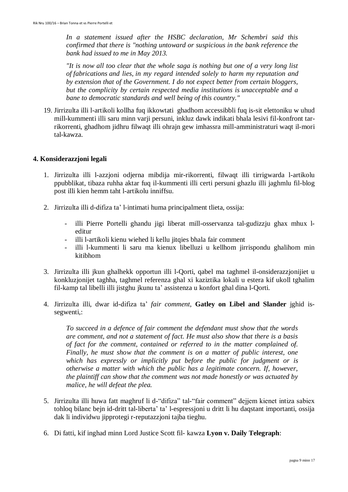*In a statement issued after the HSBC declaration, Mr Schembri said this confirmed that there is "nothing untoward or suspicious in the bank reference the bank had issued to me in May 2013.*

*"It is now all too clear that the whole saga is nothing but one of a very long list of fabrications and lies, in my regard intended solely to harm my reputation and by extension that of the Government. I do not expect better from certain bloggers, but the complicity by certain respected media institutions is unacceptable and a bane to democratic standards and well being of this country."*

19. Jirrizulta illi l-artikoli kollha fuq ikkowtati ghadhom accessibbli fuq is-sit elettoniku w uhud mill-kummenti illi saru minn varji persuni, inkluz dawk indikati bhala lesivi fil-konfront tarrikorrenti, ghadhom jidhru filwaqt illi ohrajn gew imhassra mill-amministraturi waqt il-mori tal-kawza.

#### **4. Konsiderazzjoni legali**

- 1. Jirrizulta illi l-azzjoni odjerna mibdija mir-rikorrenti, filwaqt illi tirrigwarda l-artikolu ppubblikat, tibaza ruhha aktar fuq il-kummenti illi certi persuni ghazlu illi jaghmlu fil-blog post illi kien hemm taht l-artikolu inniffsu.
- 2. Jirrizulta illi d-difiza ta' l-intimati huma principalment tlieta, ossija:
	- illi Pierre Portelli ghandu jigi liberat mill-osservanza tal-gudizzju ghax mhux leditur
	- illi l-artikoli kienu wiehed li kellu jitqies bhala fair comment
	- illi l-kummenti li saru ma kienux libelluzi u kellhom jirrispondu ghalihom min kitibhom
- 3. Jirrizulta illi jkun ghalhekk opportun illi l-Qorti, qabel ma taghmel il-onsiderazzjonijiet u konkluzjonijet taghha, taghmel referenza ghal xi kaziztika lokali u estera kif ukoll tghalim fil-kamp tal libelli illi jistghu jkunu ta' assistenza u konfort ghal dina l-Qorti.
- 4. Jirrizulta illi, dwar id-difiza ta' *fair comment*, **Gatley on Libel and Slander** jghid issegwenti,:

*To succeed in a defence of fair comment the defendant must show that the words are comment, and not a statement of fact. He must also show that there is a basis of fact for the comment, contained or referred to in the matter complained of. Finally, he must show that the comment is on a matter of public interest, one which has expressly or implicitly put before the public for judgment or is otherwise a matter with which the public has a legitimate concern. If, however, the plaintiff can show that the comment was not made honestly or was actuated by malice, he will defeat the plea.*

- 5. Jirrizulta illi huwa fatt maghruf li d-"difiza" tal-"fair comment" dejjem kienet intiza sabiex tohloq bilanc bejn id-dritt tal-liberta' ta' l-espressjoni u dritt li hu daqstant importanti, ossija dak li individwu jipprotegi r-reputazzjoni tajba tieghu.
- 6. Di fatti, kif inghad minn Lord Justice Scott fil- kawza **Lyon v. Daily Telegraph**: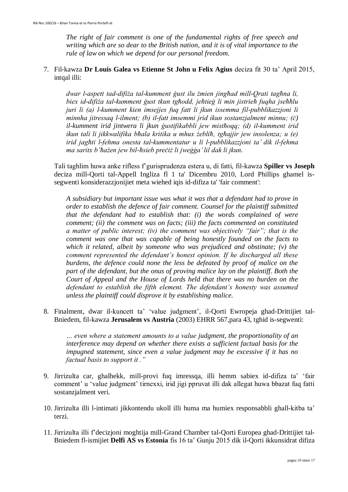*The right of fair comment is one of the fundamental rights of free speech and writing which are so dear to the British nation, and it is of vital importance to the rule of law on which we depend for our personal freedom.*

# 7. Fil-kawza **Dr Louis Galea vs Etienne St John u Felix Agius** deciza fit 30 ta' April 2015, intqal illi:

dwar *l-aspett tad-difiża tal-kumment gust ilu żmien jinghad mill-Orati taghna li,* biex id-difiża tal-kumment gust tkun tghodd, jehtieg li min jistrieh fuqha jsehhlu *juri li a l-kumment kien imsejjes fuq fatt li jkun issemma fil-pubblikazzjoni li minnha jitressaq l-ilment; (b) il-fatt imsemmi jrid ikun sostanzjalment minnu; (c) il-kumment irid jintwera li jkun gustifikabbli jew misthoqq; (d) il-kumment irid ikun tali li jikkwalifika bhala kritika u mhux żeblih, tghajjir jew insolenza; u (e) irid jag ti l-fehma onesta tal-kummentatur u li l-pubblikazzjoni ta' dik il-fehma*  ma saritx b'hażen jew bil-hsieb preciż li jwegga' lil dak li jkun.

Tali taghlim huwa anke rifless f'gurisprudenza estera u, di fatti, fil-kawza **Spiller vs Joseph** deciza mill-Qorti tal-Appell Ingliza fl 1 ta' Dicembru 2010, Lord Phillips ghamel issegwenti konsiderazzjonijiet meta wiehed iqis id-difiza ta' 'fair comment':

*A subsidiary but important issue was what it was that a defendant had to prove in order to establish the defence of fair comment. Counsel for the plaintiff submitted that the defendant had to establish that: (i) the words complained of were comment; (ii) the comment was on facts; (iii) the facts commented on constituted a matter of public interest; (iv) the comment was objectively "fair"; that is the comment was one that was capable of being honestly founded on the facts to which it related, albeit by someone who was prejudiced and obstinate; (v) the comment represented the defendant's honest opinion. If he discharged all these burdens, the defence could none the less be defeated by proof of malice on the part of the defendant, but the onus of proving malice lay on the plaintiff. Both the Court of Appeal and the House of Lords held that there was no burden on the defendant to establish the fifth element. The defendant's honesty was assumed unless the plaintiff could disprove it by establishing malice.*

8. Finalment, dwar il-kuncett ta' 'value judgment', il-Qorti Ewropeja ghad-Drittijiet tal-Bniedem, fil-kawza **Jerusalem vs Austria** (2003) EHRR 567,para 43, tghid is-segwenti:

*… even where a statement amounts to a value judgment, the proportionality of an interference may depend on whether there exists a sufficient factual basis for the impugned statement, since even a value judgment may be excessive if it has no factual basis to support it ."*

- 9. Jirrizulta car, ghalhekk, mill-provi fuq imressqa, illi hemm sabiex id-difiza ta' 'fair comment' u 'value judgment' tirnexxi, irid jigi ppruvat illi dak allegat huwa bbazat fuq fatti sostanzjalment veri.
- 10. Jirrizulta illi l-intimati jikkontendu ukoll illi huma ma humiex responsabbli ghall-kitba ta' terzi.
- 11. Jirrizulta illi f'decizjoni moghtija mill-Grand Chamber tal-Qorti Europea ghad-Drittijiet tal-Bniedem fl-ismijiet **Delfi AS vs Estonia** fis 16 ta' Gunju 2015 dik il-Qorti ikkunsidrat difiza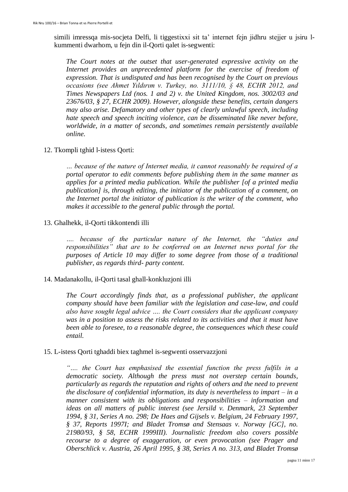simili imressqa mis-socjeta Delfi, li tiggestixxi sit ta' internet fejn jidhru stejjer u jsiru lkummenti dwarhom, u fejn din il-Qorti qalet is-segwenti:

*The Court notes at the outset that user-generated expressive activity on the*  Internet provides an unprecedented platform for the exercise of freedom of *expression. That is undisputed and has been recognised by the Court on previous occasions (see Ahmet Yıldırım v. Turkey, no. 3111/10, § 48, ECHR 2012, and Times Newspapers Ltd (nos. 1 and 2) v. the United Kingdom, nos. 3002/03 and 23676/03, § 27, ECHR 2009). However, alongside these benefits, certain dangers may also arise. Defamatory and other types of clearly unlawful speech, including hate speech and speech inciting violence, can be disseminated like never before, worldwide, in a matter of seconds, and sometimes remain persistently available online.*

#### 12. Tkompli tghid l-istess Qorti:

*… because of the nature of Internet media, it cannot reasonably be required of a portal operator to edit comments before publishing them in the same manner as applies for a printed media publication. While the publisher [of a printed media publication] is, through editing, the initiator of the publication of a comment, on the Internet portal the initiator of publication is the writer of the comment, who makes it accessible to the general public through the portal.*

13. Ghalhekk, il-Qorti tikkontendi illi

*…. because of the particular nature of the Internet, the "duties and responsibilities" that are to be conferred on an Internet news portal for the purposes of Article 10 may differ to some degree from those of a traditional publisher, as regards third- party content.*

#### 14. Madanakollu, il-Qorti tasal ghall-konkluzjoni illi

*The Court accordingly finds that, as a professional publisher, the applicant company should have been familiar with the legislation and case-law, and could also have sought legal advice …. the Court considers that the applicant company was in a position to assess the risks related to its activities and that it must have been able to foresee, to a reasonable degree, the consequences which these could entail.* 

#### 15. L-istess Qorti tghaddi biex taghmel is-segwenti osservazzjoni

*"…. the Court has emphasised the essential function the press fulfils in a democratic society. Although the press must not overstep certain bounds, particularly as regards the reputation and rights of others and the need to prevent the disclosure of confidential information, its duty is nevertheless to impart – in a manner consistent with its obligations and responsibilities – information and ideas on all matters of public interest (see Jersild v. Denmark, 23 September 1994, § 31, Series A no. 298; De Haes and Gijsels v. Belgium, 24 February 1997, § 37, Reports 1997I; and Bladet Tromsø and Stensaas v. Norway [GC], no. 21980/93, § 58, ECHR 1999III). Journalistic freedom also covers possible recourse to a degree of exaggeration, or even provocation (see Prager and Oberschlick v. Austria, 26 April 1995, § 38, Series A no. 313, and Bladet Tromsø*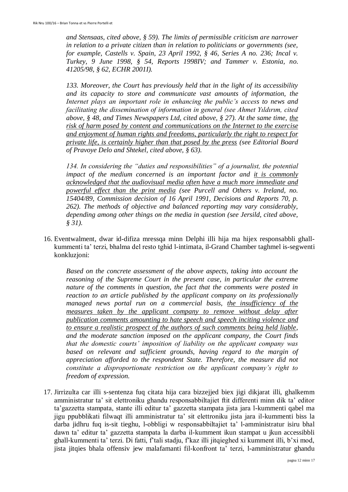*and Stensaas, cited above, § 59). The limits of permissible criticism are narrower in relation to a private citizen than in relation to politicians or governments (see, for example, Castells v. Spain, 23 April 1992, § 46, Series A no. 236; Incal v. Turkey, 9 June 1998, § 54, Reports 1998IV; and Tammer v. Estonia, no. 41205/98, § 62, ECHR 2001I).*

*133. Moreover, the Court has previously held that in the light of its accessibility and its capacity to store and communicate vast amounts of information, the Internet plays an important role in enhancing the public's access to news and facilitating the dissemination of information in general (see Ahmet Yildirim, cited above, § 48, and Times Newspapers Ltd, cited above, § 27). At the same time, the risk of harm posed by content and communications on the Internet to the exercise and enjoyment of human rights and freedoms, particularly the right to respect for private life, is certainly higher than that posed by the press (see Editorial Board of Pravoye Delo and Shtekel, cited above, § 63).*

*134. In considering the "duties and responsibilities" of a journalist, the potential impact of the medium concerned is an important factor and it is commonly acknowledged that the audiovisual media often have a much more immediate and powerful effect than the print media (see Purcell and Others v. Ireland, no. 15404/89, Commission decision of 16 April 1991, Decisions and Reports 70, p. 262). The methods of objective and balanced reporting may vary considerably, depending among other things on the media in question (see Jersild, cited above, § 31).*

16. Eventwalment, dwar id-difiza mressqa minn Delphi illi hija ma hijex responsabbli ghallkummenti ta' terzi, bhalma del resto tghid l-intimata, il-Grand Chamber taghmel is-segwenti konkluzjoni:

*Based on the concrete assessment of the above aspects, taking into account the reasoning of the Supreme Court in the present case, in particular the extreme nature of the comments in question, the fact that the comments were posted in reaction to an article published by the applicant company on its professionally managed news portal run on a commercial basis, the insufficiency of the measures taken by the applicant company to remove without delay after publication comments amounting to hate speech and speech inciting violence and to ensure a realistic prospect of the authors of such comments being held liable, and the moderate sanction imposed on the applicant company, the Court finds that the domestic courts' imposition of liability on the applicant company was*  based on relevant and sufficient grounds, having regard to the margin of *appreciation afforded to the respondent State. Therefore, the measure did not constitute a disproportionate restriction on the applicant company's right to freedom of expression.*

17. Jirrizulta car illi s-sentenza fuq citata hija cara bizzejjed biex jigi dikjarat illi, ghalkemm amministratur ta' sit elettroniku ghandu responsabbiltajiet ftit differenti minn dik ta' editor ta'gazzetta stampata, stante illi editur ta' gazzetta stampata jista jara l-kummenti qabel ma jigu ppubblikati filwaqt illi amministratur ta' sit elettroniku jista jara il-kummenti biss la darba jidhru fuq is-sit tieghu, l-obbligi w responsabbiltajiet ta' l-amministratur isiru bhal dawn ta' editur ta' gazzetta stampata la darba il-kumment ikun stampat u jkun accessibbli ghall-kummenti ta' terzi. Di fatti, f'tali stadju, f'kaz illi jitqieghed xi kumment illi, b'xi mod, jista jitqies bhala offensiv jew malafamanti fil-konfront ta' terzi, l-amministratur ghandu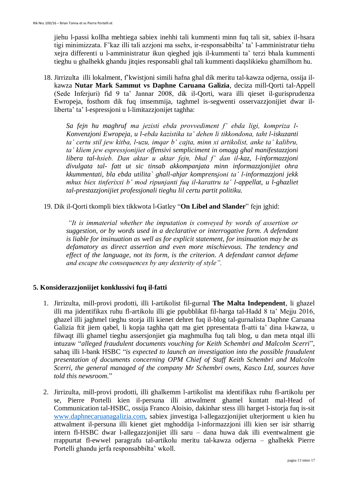jiehu l-passi kollha mehtiega sabiex inehhi tali kummenti minn fuq tali sit, sabiex il-hsara tigi minimizzata. F'kaz illi tali azzjoni ma ssehx, ir-responsabbilta' ta' l-amministratur tiehu xejra differenti u l-amministratur ikun qieghed jqis il-kummenti ta' terzi bhala kummenti tieghu u ghalhekk ghandu jitqies responsabli ghal tali kummenti daqslikieku ghamilhom hu.

18. Jirrizulta illi lokalment, f'kwistjoni simili hafna ghal dik meritu tal-kawza odjerna, ossija ilkawza **Nutar Mark Sammut vs Daphne Caruana Galizia**, deciza mill-Qorti tal-Appell (Sede Inferjuri) fid 9 ta' Jannar 2008, dik il-Qorti, wara illi qieset il-gurisprudenza Ewropeja, fosthom dik fuq imsemmija, taghmel is-segwenti osservazzjonijiet dwar illiberta' ta' l-espressjoni u l-limitazzjonijet taghha:

*Sa fejn hu maghruf ma jezisti ebda provvediment f' ebda ligi, kompriza l-Konvenzjoni Ewropeja, u l-ebda kazistika ta' dehen li tikkondona, taht l-iskuzanti ta' certu stil jew kitba, l-uzu, imqar b' cajta, minn xi artikolist, anke ta' kalibru, ta' kliem jew espressjonijiet offensivi sempliciment in omagg ghal manifestazzjoni libera tal-hsieb. Dan aktar u aktar fejn, bhal f' dan il-kaz, l-informazzjoni divulgata tal- fatt ut sic tinsab akkompanjata minn informazzjonijiet ohra kkummentati, bla ebda utilita` ghall-ahjar komprensjoni ta' l-informazzjoni jekk mhux biex tinferixxi b' mod ripunjanti fuq il-karattru ta' l-appellat, u l-ghazliet tal-prestazzjonijiet professjonali tieghu lil certu partit politiku.*

19. Dik il-Qorti tkompli biex tikkwota l-Gatley "**On Libel and Slander**" fejn jghid:

*"It is immaterial whether the imputation is conveyed by words of assertion or suggestion, or by words used in a declarative or interrogative form. A defendant is liable for insinuation as well as for explicit statement, for insinuation may be as defamatory as direct assertion and even more mischievous. The tendency and effect of the language, not its form, is the criterion. A defendant cannot defame and escape the consequences by any dexterity of style".*

# **5. Konsiderazzjoniijet konklussivi fuq il-fatti**

- 1. Jirrizulta, mill-provi prodotti, illi l-artikolist fil-gurnal **The Malta Independent**, li ghazel illi ma jidentifikax ruhu fl-artikolu illi gie ppubblikat fil-harga tal-Hadd 8 ta' Mejju 2016, ghazel illi jaghmel tieghu storja illi kienet dehret fuq il-blog tal-gurnalista Daphne Caruana Galizia ftit jiem qabel, li kopja taghha qatt ma giet ppresentata fl-atti ta' dina l-kawza, u filwaqt illi ghamel tieghu assersjonjiet gia maghmulha fuq tali blog, u dan meta ntqal illi intuzaw "*alleged fraudulent documents vouching for Keith Schembri and Malcolm Scerri*", sahaq illi l-bank HSBC "*is expected to launch an investigation into the possible fraudulent presentation of documents concerning OPM Chief of Staff Keith Schembri and Malcolm Scerri, the general managed of the company Mr Schembri owns, Kasco Ltd, sources have told this newsroom.*"
- 2. Jirrizulta, mill-provi prodotti, illi ghalkemm l-artikolist ma identifikax ruhu fl-artikolu per se, Pierre Portelli kien il-persuna illi attwalment ghamel kuntatt mal-Head of Communication tal-HSBC, ossija Franco Aloisio, dakinhar stess illi harget l-istorja fuq is-sit [www.daphnecaruanagalizia.com,](http://www.daphnecaruanagalizia.com/) sabiex jinvestiga l-allegazzjonijiet ulterjorment u kien hu attwalment il-persuna illi kienet giet mghoddija l-informazzjoni illi kien ser isir stharrig intern fl-HSBC dwar l-allegazzjonijiet illi saru – dana huwa dak illi eventwalment gie rrappurtat fl-ewwel paragrafu tal-artikolu meritu tal-kawza odjerna – ghalhekk Pierre Portelli ghandu jerfa responsabbilta' wkoll.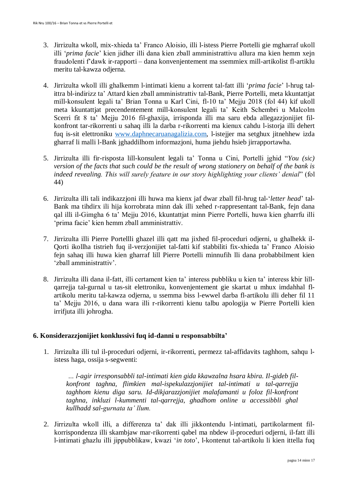- 3. Jirrizulta wkoll, mix-xhieda ta' Franco Aloisio, illi l-istess Pierre Portelli gie mgharraf ukoll illi '*prima facie*' kien jidher illi dana kien zball amministrattivu allura ma kien hemm xejn fraudolenti f'dawk ir-rapporti – dana konvenjentement ma ssemmiex mill-artikolist fl-artiklu meritu tal-kawza odjerna.
- 4. Jirrizulta wkoll illi ghalkemm l-intimati kienu a korrent tal-fatt illi '*prima facie*' l-hrug talittra bl-indirizz ta' Attard kien zball amministrattiv tal-Bank, Pierre Portelli, meta kkuntattjat mill-konsulent legali ta' Brian Tonna u Karl Cini, fl-10 ta' Mejju 2018 (fol 44) kif ukoll meta kkuntattjat precendentement mill-konsulent legali ta' Keith Schembri u Malcolm Scerri fit 8 ta' Mejju 2016 fil-ghaxija, irrisponda illi ma saru ebda allegazzjonijiet filkonfront tar-rikorrenti u sahaq illi la darba r-rikorrenti ma kienux cahdu l-istorja illi dehert fuq is-sit elettroniku [www.daphnecaruanagalizia.com,](http://www.daphnecaruanagalizia.com/) l-istejjer ma setghux jitnehhew izda gharraf li malli l-Bank jghaddilhom informazjoni, huma jiehdu hsieb jirrapportawha.
- 5. Jirrizulta illi fir-risposta lill-konsulent legali ta' Tonna u Cini, Portelli jghid "*You (sic) version of the facts that such could be the result of wrong stationery on behalf of the bank is indeed revealing. This will surely feature in our story highlighting your clients' denial*" (fol 44)
- 6. Jirrizulta illi tali indikazzjoni illi huwa ma kienx jaf dwar zball fil-hrug tal-'*letter head*' tal-Bank ma tihdirx ili hija korrobrata minn dak illi xehed r-rappresentant tal-Bank, fejn dana qal illi il-Gimgha 6 ta' Mejju 2016, kkuntattjat minn Pierre Portelli, huwa kien gharrfu illi 'prima facie' kien hemm zball amministrattiv.
- 7. Jirrizulta illi Pierre Portellli ghazel illi qatt ma jixhed fil-proceduri odjerni, u ghalhekk il-Qorti ikollha tistrieh fuq il-verzjonijiet tal-fatti kif stabbiliti fix-xhieda ta' Franco Aloisio fejn sahaq illi huwa kien gharraf lill Pierre Portelli minnufih lli dana probabbilment kien 'zball amministrattiv'.
- 8. Jirrizulta illi dana il-fatt, illi certament kien ta' interess pubbliku u kien ta' interess kbir lillqarrejja tal-gurnal u tas-sit elettroniku, konvenjentement gie skartat u mhux imdahhal flartikolu meritu tal-kawza odjerna, u ssemma biss l-ewwel darba fl-artikolu illi deher fil 11 ta' Mejju 2016, u dana wara illi r-rikorrenti kienu talbu apologija w Pierre Portelli kien irrifjuta illi johrogha.

# **6. Konsiderazzjonijiet konklussivi fuq id-danni u responsabbilta'**

1. Jirrizulta illi tul il-proceduri odjerni, ir-rikorrenti, permezz tal-affidavits taghhom, sahqu listess haga, ossija s-segwenti:

*… l-agir irresponsabbli tal-intimati kien gida kkawzalna hsara kbira. Il-gideb filkonfront taghna, flimkien mal-ispekulazzjonijiet tal-intimati u tal-qarrejja taghhom kienu diga saru. Id-dikjarazzjonijiet malafamanti u foloz fil-konfront taghna, inkluzi l-kummenti tal-qarrejja, ghadhom online u accessibbli ghal kullhadd sal-gurnata ta' llum.*

2. Jirrizulta wkoll illi, a differenza ta' dak illi jikkontendu l-intimati, partikolarment filkorrispondenza illi skambjaw mar-rikorrenti qabel ma nbdew il-proceduri odjerni, il-fatt illi l-intimati ghazlu illi jippubblikaw, kwazi '*in toto*', l-kontenut tal-artikolu li kien ittella fuq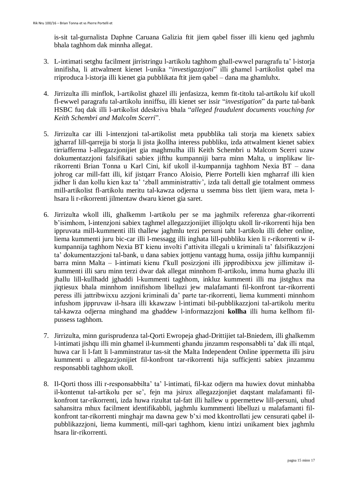is-sit tal-gurnalista Daphne Caruana Galizia ftit jiem qabel fisser illi kienu qed jaghmlu bhala taghhom dak minnha allegat.

- 3. L-intimati setghu facilment jirristringu l-artikolu taghhom ghall-ewwel paragrafu ta' l-istorja innifisha, li attwalment kienet l-unika "*investigazzjoni*" illi ghamel l-artikolist qabel ma rriproduca l-istorja illi kienet gia pubblikata ftit jiem qabel – dana ma ghamluhx.
- 4. Jirrizulta illi minflok, l-artikolist ghazel illi jenfasizza, kemm fit-titolu tal-artikolu kif ukoll fl-ewwel paragrafu tal-artikolu inniffsu, illi kienet ser issir "*investigation*" da parte tal-bank HSBC fuq dak illi l-artikolist ddeskriva bhala "*alleged fraudulent documents vouching for Keith Schembri and Malcolm Scerri*".
- 5. Jirrizulta car illi l-intenzjoni tal-artikolist meta ppubblika tali storja ma kienetx sabiex jgharraf lill-qarrejja bi storja li jista jkollha interess pubbliku, izda attwalment kienet sabiex tirriafferma l-allegazzjonijiet gia maghmulha illi Keith Schembri u Malcom Scerri uzaw dokumentazzjoni falsifikati sabiex jifthu kumpanniji barra minn Malta, u implikaw lirrikorrenti Brian Tonna u Karl Cini, kif ukoll il-kumpannija taghhom Nexia BT – dana johrog car mill-fatt illi, kif jistqarr Franco Aloisio, Pierre Portelli kien mgharraf illi kien jidher li dan kollu kien kaz ta' 'zball amministrattiv', izda tali dettall gie totalment ommess mill-artikolist fl-artikolu meritu tal-kawza odjerna u ssemma biss tlett ijiem wara, meta lhsara li r-rikorrenti jilmentaw dwaru kienet gia saret.
- 6. Jirrizulta wkoll illi, ghalkemm l-artikolu per se ma jaghmilx referenza ghar-rikorrenti b'isimhom, l-intenzjoni sabiex taghmel allegazzjonijiet illijolqtu ukoll lir-rikorrenti hija ben ippruvata mill-kummenti illi thallew jaghmlu terzi persuni taht l-artikolu illi deher online, liema kummenti juru bic-car illi l-messagg illi inghata lill-pubbliku kien li r-rikorrenti w ilkumpannija taghhom Nexia BT kienu involti f'attivita illegali u kriminali ta' falsifikazzjoni ta' dokumentazzjoni tal-bank, u dana sabiex jottjenu vantagg huma, ossija jifthu kumpanniji barra minn Malta – l-intimati kienu f'kull posizzjoni illi jipprodibixxu jew jillimitaw ilkummenti illi saru minn terzi dwar dak allegat minnhom fl-artikolu, imma huma ghazlu illi jhallu lill-kullhadd jghaddi l-kummenti taghhom, inkluz kummenti illi ma jistghux ma jiqtiesux bhala minnhom innifishom libelluzi jew malafamanti fil-konfront tar-rikorrenti peress illi jattribwixxu azzjoni kriminali da' parte tar-rikorrenti, liema kummenti minnhom infushom jippruvaw il-hsara illi kkawzaw l-intimati bil-pubblikazzjoni tal-artikolu meritu tal-kawza odjerna minghand ma ghaddew l-informazzjoni **kollha** illi huma kellhom filpussess taghhom.
- 7. Jirrizulta, minn gurisprudenza tal-Qorti Ewropeja ghad-Drittijiet tal-Bniedem, illi ghalkemm l-intimati jishqu illi min ghamel il-kummenti ghandu jinzamm responsabbli ta' dak illi ntqal, huwa car li l-fatt li l-amminstratur tas-sit the Malta Independent Online ippermetta illi jsiru kummenti u allegazzjonijiet fil-konfront tar-rikorrenti hija sufficjenti sabiex jinzammu responsabbli taghhom ukoll.
- 8. Il-Qorti thoss illi r-responsabbilta' ta' l-intimati, fil-kaz odjern ma huwiex dovut minhabba il-kontenut tal-artikolu per se', fejn ma jsirux allegazzjonjiet daqstant malafamanti filkonfront tar-rikorrenti, izda huwa rizultat tal-fatt illi hallew u ppermettew lill-persuni, uhud sahansitra mhux facilment identifikabbli, jaghmlu kummmenti libelluzi u malafamanti filkonfront tar-rikorrenti minghajr ma dawna gew b'xi mod kkontrollati jew censurati qabel ilpubblikazzjoni, liema kummenti, mill-qari taghhom, kienu intizi unikament biex jaghmlu hsara lir-rikorrenti.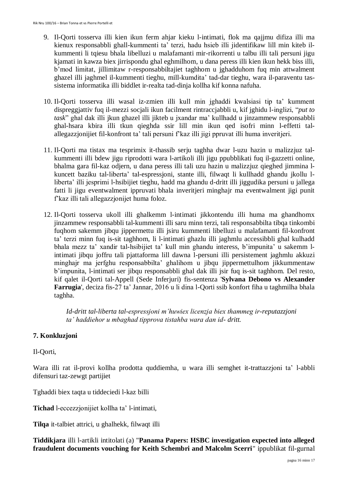- 9. Il-Qorti tosserva illi kien ikun ferm ahjar kieku l-intimati, flok ma qajjmu difiza illi ma kienux responsabbli ghall-kummenti ta' terzi, hadu hsieb illi jidentifikaw lill min kiteb ilkummenti li tqiesu bhala libelluzi u malafamanti mir-rikorrenti u talbu illi tali persuni jigu kjamati in kawza biex jirrispondu ghal eghmilhom, u dana peress illi kien ikun hekk biss illi, b'mod limitat, jillimitaw r-responsabbiltajiet taghhom u jghadduhom fuq min attwalment ghazel illi jaghmel il-kummenti tieghu, mill-kumdita' tad-dar tieghu, wara il-paraventu tassistema informatika illi biddlet ir-realta tad-dinja kollha kif konna nafuha.
- 10. Il-Qorti tosserva illi wasal iz-zmien illi kull min jghaddi kwalsiasi tip ta' kumment dispreggjattiv fuq il-mezzi socjali ikun facilment rintraccjabbli u, kif jghidu l-inglizi, "*put to task*" ghal dak illi jkun ghazel illi jikteb u jxandar ma' kullhadd u jinzammew responsabbli ghal-hsara kbira illi tkun qieghda ssir lill min ikun qed isofri minn l-effetti talallegazzjonijiet fil-konfront ta' tali persuni f'kaz illi jigi ppruvat illi huma inveritjeri.
- 11. Il-Qorti ma tistax ma tesprimix it-thassib serju taghha dwar l-uzu hazin u malizzjuz talkummenti illi bdew jigu riprodotti wara l-artikoli illi jigu ppubblikati fuq il-gazzetti online, bhalma gara fil-kaz odjern, u dana peress illi tali uzu hazin u malizzjuz qieghed jimmina lkuncett baziku tal-liberta' tal-espressjoni, stante illi, filwaqt li kullhadd ghandu jkollu lliberta' illi jesprimi l-hsibijiet tieghu, hadd ma ghandu d-dritt illi jiggudika persuni u jallega fatti li jigu eventwalment ippruvati bhala inveritjeri minghajr ma eventwalment jigi punit f'kaz illi tali allegazzjonijet huma foloz.
- 12. Il-Qorti tosserva ukoll illi ghalkemm l-intimati jikkontendu illi huma ma ghandhomx jinzammew responsabbli tal-kummenti illi saru minn terzi, tali responsabbilta tibqa tinkombi fuqhom sakemm jibqu jippermettu illi jsiru kummenti libelluzi u malafamanti fil-konfront ta' terzi minn fuq is-sit taghhom, li l-intimati ghazlu illi jaghmlu accessibbli ghal kulhadd bhala mezz ta' xandir tal-hsibijiet ta' kull min ghandu interess, b'impunita' u sakemm lintimati jibqu joffru tali pjattaforma lill dawna l-persuni illi persistement jaghmlu akkuzi minghajr ma jerfghu responsabbilta' ghalihom u jibqu jippermettulhom jikkummentaw b'impunita, l-intimati ser jibqu responsabbli ghal dak illi jsir fuq is-sit taghhom. Del resto, kif qalet il-Qorti tal-Appell (Sede Inferjuri) fis-sentenza '**Sylvana Debono vs Alexander Farrugia**', deciza fis-27 ta' Jannar, 2016 u li dina l-Qorti ssib konfort fiha u taghmilha bhala taghha.

*Id-dritt tal-liberta tal-espressjoni m'huwiex licenzja biex thammeg ir-reputazzjoni ta' haddiehor u mbaghad tipprova tistahba wara dan id- dritt.*

# **7. Konkluzjoni**

Il-Qorti,

Wara illi rat il-provi kollha prodotta quddiemha, u wara illi semghet it-trattazzjoni ta' l-abbli difensuri taz-zewgt partijiet

Tghaddi biex taqta u tiddeciedi l-kaz billi

**Tichad** l-eccezzjonijiet kollha ta' l-intimati,

**Tilqa** it-talbiet attrici, u ghalhekk, filwaqt illi

**Tiddikjara** illi l-artikli intitolati (a) "**Panama Papers: HSBC investigation expected into alleged fraudulent documents vouching for Keith Schembri and Malcolm Scerri**" ippublikat fil-gurnal